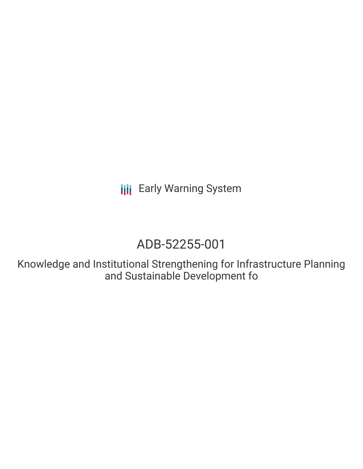# ADB-52255-001

Knowledge and Institutional Strengthening for Infrastructure Planning and Sustainable Development fo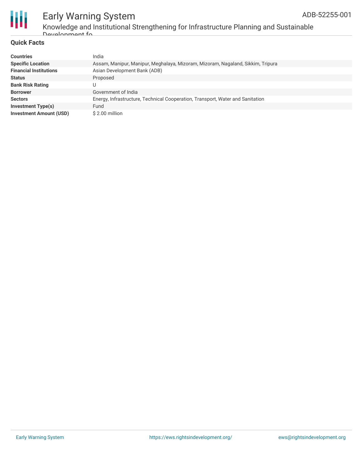

Knowledge and Institutional Strengthening for Infrastructure Planning and Sustainable Development fo

#### **Quick Facts**

| <b>Countries</b>               | India                                                                           |
|--------------------------------|---------------------------------------------------------------------------------|
| <b>Specific Location</b>       | Assam, Manipur, Manipur, Meghalaya, Mizoram, Mizoram, Nagaland, Sikkim, Tripura |
| <b>Financial Institutions</b>  | Asian Development Bank (ADB)                                                    |
| <b>Status</b>                  | Proposed                                                                        |
| <b>Bank Risk Rating</b>        | U                                                                               |
| <b>Borrower</b>                | Government of India                                                             |
| <b>Sectors</b>                 | Energy, Infrastructure, Technical Cooperation, Transport, Water and Sanitation  |
| <b>Investment Type(s)</b>      | Fund                                                                            |
| <b>Investment Amount (USD)</b> | \$2.00 million                                                                  |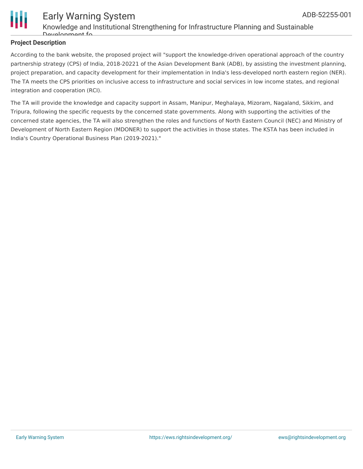



Knowledge and Institutional Strengthening for Infrastructure Planning and Sustainable Development fo

## **Project Description**

According to the bank website, the proposed project will "support the knowledge-driven operational approach of the country partnership strategy (CPS) of India, 2018-20221 of the Asian Development Bank (ADB), by assisting the investment planning, project preparation, and capacity development for their implementation in India's less-developed north eastern region (NER). The TA meets the CPS priorities on inclusive access to infrastructure and social services in low income states, and regional integration and cooperation (RCI).

The TA will provide the knowledge and capacity support in Assam, Manipur, Meghalaya, Mizoram, Nagaland, Sikkim, and Tripura, following the specific requests by the concerned state governments. Along with supporting the activities of the concerned state agencies, the TA will also strengthen the roles and functions of North Eastern Council (NEC) and Ministry of Development of North Eastern Region (MDONER) to support the activities in those states. The KSTA has been included in India's Country Operational Business Plan (2019-2021)."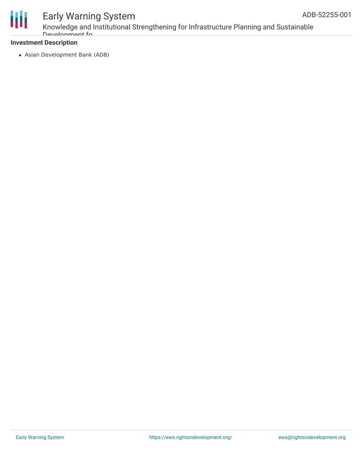

Knowledge and Institutional Strengthening for Infrastructure Planning and Sustainable Development fo

## **Investment Description**

Asian Development Bank (ADB)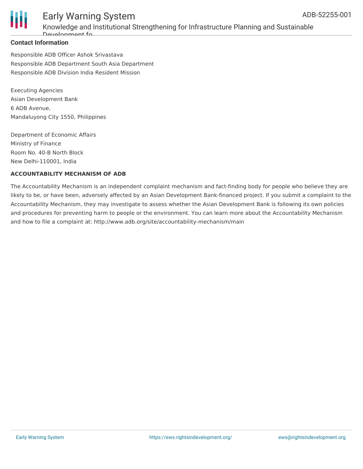

# Early Warning System Knowledge and Institutional Strengthening for Infrastructure Planning and Sustainable Development fo

### **Contact Information**

Responsible ADB Officer Ashok Srivastava Responsible ADB Department South Asia Department Responsible ADB Division India Resident Mission

Executing Agencies Asian Development Bank 6 ADB Avenue, Mandaluyong City 1550, Philippines

Department of Economic Affairs Ministry of Finance Room No. 40-B North Block New Delhi-110001, India

### **ACCOUNTABILITY MECHANISM OF ADB**

The Accountability Mechanism is an independent complaint mechanism and fact-finding body for people who believe they are likely to be, or have been, adversely affected by an Asian Development Bank-financed project. If you submit a complaint to the Accountability Mechanism, they may investigate to assess whether the Asian Development Bank is following its own policies and procedures for preventing harm to people or the environment. You can learn more about the Accountability Mechanism and how to file a complaint at: http://www.adb.org/site/accountability-mechanism/main